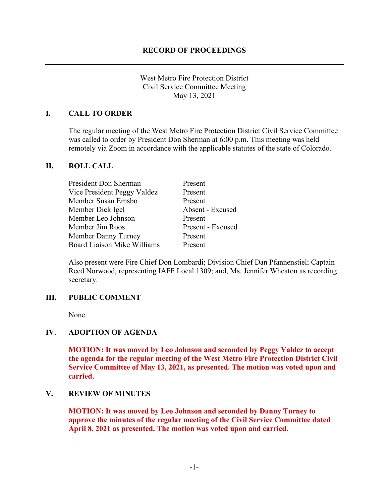West Metro Fire Protection District Civil Service Committee Meeting May 13, 2021

### **I. CALL TO ORDER**

The regular meeting of the West Metro Fire Protection District Civil Service Committee was called to order by President Don Sherman at 6:00 p.m. This meeting was held remotely via Zoom in accordance with the applicable statutes of the state of Colorado.

#### **II. ROLL CALL**

| President Don Sherman              | Present           |
|------------------------------------|-------------------|
| Vice President Peggy Valdez        | Present           |
| Member Susan Emsbo                 | Present           |
| Member Dick Igel                   | Absent - Excused  |
| Member Leo Johnson                 | Present           |
| Member Jim Roos                    | Present - Excused |
| Member Danny Turney                | Present           |
| <b>Board Liaison Mike Williams</b> | Present           |

Also present were Fire Chief Don Lombardi; Division Chief Dan Pfannenstiel; Captain Reed Norwood, representing IAFF Local 1309; and, Ms. Jennifer Wheaton as recording secretary.

#### **III. PUBLIC COMMENT**

None.

# **IV. ADOPTION OF AGENDA**

**MOTION: It was moved by Leo Johnson and seconded by Peggy Valdez to accept the agenda for the regular meeting of the West Metro Fire Protection District Civil Service Committee of May 13, 2021, as presented. The motion was voted upon and carried.**

#### **V. REVIEW OF MINUTES**

**MOTION: It was moved by Leo Johnson and seconded by Danny Turney to approve the minutes of the regular meeting of the Civil Service Committee dated April 8, 2021 as presented. The motion was voted upon and carried.**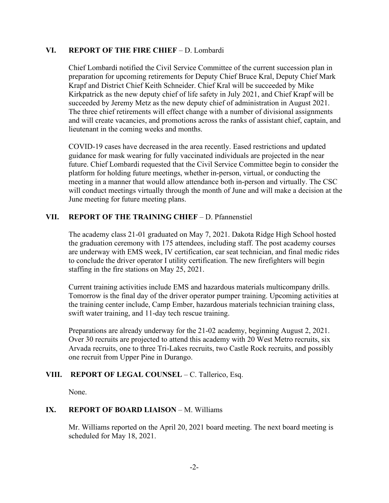#### **VI. REPORT OF THE FIRE CHIEF** – D. Lombardi

Chief Lombardi notified the Civil Service Committee of the current succession plan in preparation for upcoming retirements for Deputy Chief Bruce Kral, Deputy Chief Mark Krapf and District Chief Keith Schneider. Chief Kral will be succeeded by Mike Kirkpatrick as the new deputy chief of life safety in July 2021, and Chief Krapf will be succeeded by Jeremy Metz as the new deputy chief of administration in August 2021. The three chief retirements will effect change with a number of divisional assignments and will create vacancies, and promotions across the ranks of assistant chief, captain, and lieutenant in the coming weeks and months.

COVID-19 cases have decreased in the area recently. Eased restrictions and updated guidance for mask wearing for fully vaccinated individuals are projected in the near future. Chief Lombardi requested that the Civil Service Committee begin to consider the platform for holding future meetings, whether in-person, virtual, or conducting the meeting in a manner that would allow attendance both in-person and virtually. The CSC will conduct meetings virtually through the month of June and will make a decision at the June meeting for future meeting plans.

### **VII. REPORT OF THE TRAINING CHIEF** – D. Pfannenstiel

The academy class 21-01 graduated on May 7, 2021. Dakota Ridge High School hosted the graduation ceremony with 175 attendees, including staff. The post academy courses are underway with EMS week, IV certification, car seat technician, and final medic rides to conclude the driver operator I utility certification. The new firefighters will begin staffing in the fire stations on May 25, 2021.

Current training activities include EMS and hazardous materials multicompany drills. Tomorrow is the final day of the driver operator pumper training. Upcoming activities at the training center include, Camp Ember, hazardous materials technician training class, swift water training, and 11-day tech rescue training.

Preparations are already underway for the 21-02 academy, beginning August 2, 2021. Over 30 recruits are projected to attend this academy with 20 West Metro recruits, six Arvada recruits, one to three Tri-Lakes recruits, two Castle Rock recruits, and possibly one recruit from Upper Pine in Durango.

# **VIII. REPORT OF LEGAL COUNSEL** – C. Tallerico, Esq.

None.

# **IX. REPORT OF BOARD LIAISON – M. Williams**

Mr. Williams reported on the April 20, 2021 board meeting. The next board meeting is scheduled for May 18, 2021.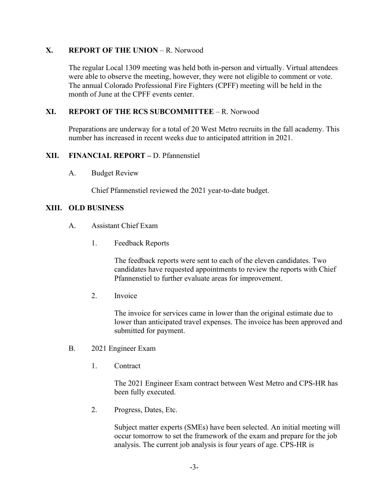# **X. REPORT OF THE UNION – R. Norwood**

The regular Local 1309 meeting was held both in-person and virtually. Virtual attendees were able to observe the meeting, however, they were not eligible to comment or vote. The annual Colorado Professional Fire Fighters (CPFF) meeting will be held in the month of June at the CPFF events center.

# **XI. REPORT OF THE RCS SUBCOMMITTEE** – R. Norwood

Preparations are underway for a total of 20 West Metro recruits in the fall academy. This number has increased in recent weeks due to anticipated attrition in 2021.

#### **XII. FINANCIAL REPORT –** D. Pfannenstiel

A. Budget Review

Chief Pfannenstiel reviewed the 2021 year-to-date budget.

#### **XIII. OLD BUSINESS**

- A. Assistant Chief Exam
	- 1. Feedback Reports

The feedback reports were sent to each of the eleven candidates. Two candidates have requested appointments to review the reports with Chief Pfannenstiel to further evaluate areas for improvement.

2. Invoice

The invoice for services came in lower than the original estimate due to lower than anticipated travel expenses. The invoice has been approved and submitted for payment.

- B. 2021 Engineer Exam
	- 1. Contract

The 2021 Engineer Exam contract between West Metro and CPS-HR has been fully executed.

2. Progress, Dates, Etc.

Subject matter experts (SMEs) have been selected. An initial meeting will occur tomorrow to set the framework of the exam and prepare for the job analysis. The current job analysis is four years of age. CPS-HR is